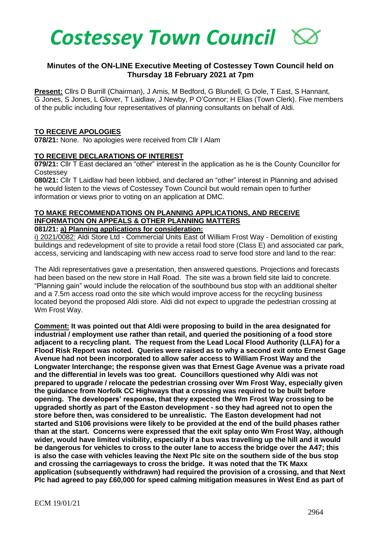

## **Minutes of the ON-LINE Executive Meeting of Costessey Town Council held on Thursday 18 February 2021 at 7pm**

**Present:** Cllrs D Burrill (Chairman), J Amis, M Bedford, G Blundell, G Dole, T East, S Hannant, G Jones, S Jones, L Glover, T Laidlaw, J Newby, P O'Connor; H Elias (Town Clerk). Five members of the public including four representatives of planning consultants on behalf of Aldi.

#### **TO RECEIVE APOLOGIES**

**078/21:** None. No apologies were received from Cllr I Alam

### **TO RECEIVE DECLARATIONS OF INTEREST**

**079/21:** Cllr T East declared an "other" interest in the application as he is the County Councillor for **Costessey** 

**080/21:** Cllr T Laidlaw had been lobbied, and declared an "other" interest in Planning and advised he would listen to the views of Costessey Town Council but would remain open to further information or views prior to voting on an application at DMC.

# **TO MAKE RECOMMENDATIONS ON PLANNING APPLICATIONS, AND RECEIVE INFORMATION ON APPEALS & OTHER PLANNING MATTERS**

## **081/21: a) Planning applications for consideration:**

i) 2021/0082: Aldi Store Ltd - Commercial Units East of William Frost Way - Demolition of existing buildings and redevelopment of site to provide a retail food store (Class E) and associated car park, access, servicing and landscaping with new access road to serve food store and land to the rear:

The Aldi representatives gave a presentation, then answered questions. Projections and forecasts had been based on the new store in Hall Road. The site was a brown field site laid to concrete. "Planning gain" would include the relocation of the southbound bus stop with an additional shelter and a 7.5m access road onto the site which would improve access for the recycling business located beyond the proposed Aldi store. Aldi did not expect to upgrade the pedestrian crossing at Wm Frost Way.

**Comment: It was pointed out that Aldi were proposing to build in the area designated for industrial / employment use rather than retail, and queried the positioning of a food store adjacent to a recycling plant. The request from the Lead Local Flood Authority (LLFA) for a Flood Risk Report was noted. Queries were raised as to why a second exit onto Ernest Gage Avenue had not been incorporated to allow safer access to William Frost Way and the Longwater Interchange; the response given was that Ernest Gage Avenue was a private road and the differential in levels was too great. Councillors questioned why Aldi was not prepared to upgrade / relocate the pedestrian crossing over Wm Frost Way, especially given the guidance from Norfolk CC Highways that a crossing was required to be built before opening. The developers' response, that they expected the Wm Frost Way crossing to be upgraded shortly as part of the Easton development - so they had agreed not to open the store before then, was considered to be unrealistic. The Easton development had not started and S106 provisions were likely to be provided at the end of the build phases rather than at the start. Concerns were expressed that the exit splay onto Wm Frost Way, although wider, would have limited visibility, especially if a bus was travelling up the hill and it would be dangerous for vehicles to cross to the outer lane to access the bridge over the A47; this is also the case with vehicles leaving the Next Plc site on the southern side of the bus stop and crossing the carriageways to cross the bridge. It was noted that the TK Maxx application (subsequently withdrawn) had required the provision of a crossing, and that Next Plc had agreed to pay £60,000 for speed calming mitigation measures in West End as part of**